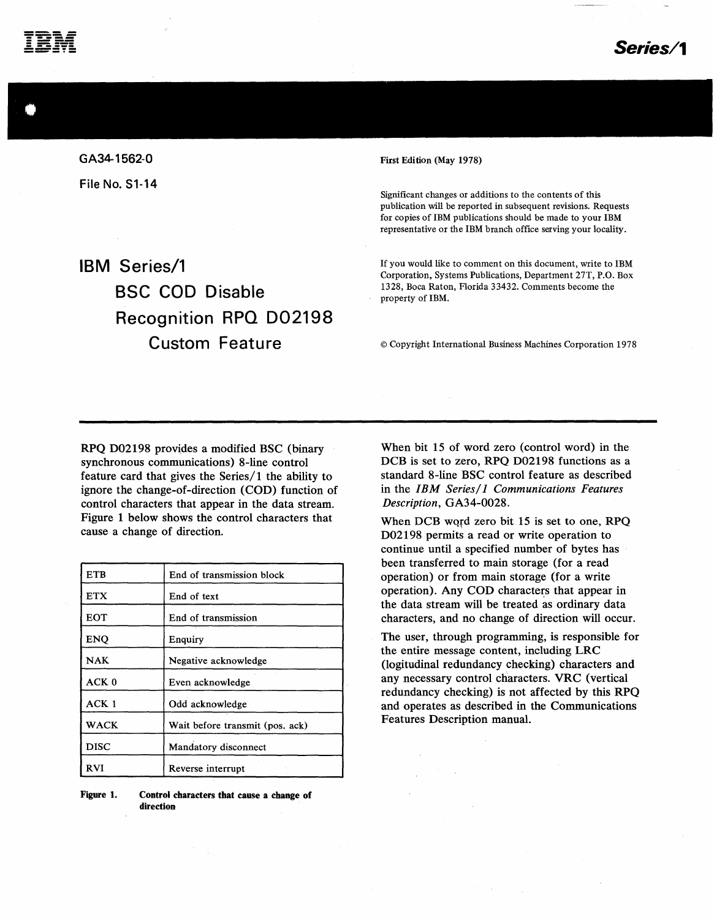

GA34-1562-0 File No. 51-14

IBM Series/1

First Edition (May 1978)

Significant changes or additions to the contents of this publication will be reported in subsequent revisions. Requests for copies of IBM publications should be made to your IBM representative or the IBM branch office serving your locality.

If you would like to comment on this document, write to IBM Corporation, Systems Publications, Department 27T, P.O. Box 1328, Boca Raton, Florida 33432. Comments become the property of IBM.

©Copyright International Business Machines Corporation 1978

RPQ D02198 provides a modified BSC (binary synchronous communications) 8-line control feature card that gives the Series/1 the ability to ignore the change-of-direction (COD) function of control characters that appear in the data stream. Figure 1 below shows the control characters that cause a change of direction.

BSC COD Disable

Recognition RPO D02198

Custom Feature

| <b>ETB</b>       | End of transmission block       |
|------------------|---------------------------------|
| <b>ETX</b>       | End of text                     |
| <b>EOT</b>       | End of transmission             |
| <b>ENQ</b>       | Enquiry                         |
| <b>NAK</b>       | Negative acknowledge            |
| ACK <sub>0</sub> | Even acknowledge                |
| ACK <sub>1</sub> | Odd acknowledge                 |
| WACK             | Wait before transmit (pos. ack) |
| <b>DISC</b>      | Mandatory disconnect            |
| <b>RVI</b>       | Reverse interrupt               |

Figure 1. Control characters that cause a change of direction

When bit 15 of word zero (control word) in the DCB is set to zero, RPQ D02198 functions as a standard 8-line BSC control feature as described in the *IBM Series/ 1 Communications Features Description,* GA34-0028.

When DCB WQfd zero bit 15 is set to one, RPQ D02198 permits a read or write operation to continue until a specified number of bytes has been transferred to main storage (for a read operation) or from main storage (for a write operation). Any COD characters that appear in the data stream will be treated as ordinary data characters, and no change of direction will occur.

The user, through programming, is responsible for the entire message content, including LRC (logitudinal redundancy checking) characters and any necessary control characters. VRC (vertical redundancy checking) is not affected by this RPQ and operates as described in the Communications Features Description manual.